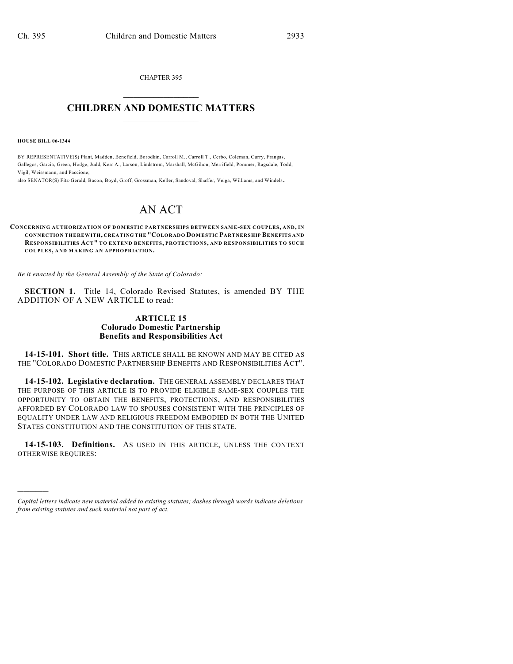CHAPTER 395  $\overline{\phantom{a}}$  . The set of the set of the set of the set of the set of the set of the set of the set of the set of the set of the set of the set of the set of the set of the set of the set of the set of the set of the set o

## **CHILDREN AND DOMESTIC MATTERS**  $\_$

**HOUSE BILL 06-1344**

)))))

BY REPRESENTATIVE(S) Plant, Madden, Benefield, Borodkin, Carroll M., Carroll T., Cerbo, Coleman, Curry, Frangas, Gallegos, Garcia, Green, Hodge, Judd, Kerr A., Larson, Lindstrom, Marshall, McGihon, Merrifield, Pommer, Ragsdale, Todd, Vigil, Weissmann, and Paccione;

also SENATOR(S) Fitz-Gerald, Bacon, Boyd, Groff, Grossman, Keller, Sandoval, Shaffer, Veiga, Williams, and Windels.

## AN ACT

**CONCERNING AUTHORIZATION OF DOM ESTIC PARTNERSHIPS BETWEEN SAM E-SEX COUPLES, AND, IN CONNECTION THEREWITH, CREATING THE "COLORADO DOM ESTIC PARTNERSHIP BENEFITS AND RESPONSIBILITIES ACT" TO EXTEND BENEFITS, PROTECTIONS, AND RESPONSIBILITIES TO SUCH COUPLES, AND MAKING AN APPROPRIATION.**

*Be it enacted by the General Assembly of the State of Colorado:*

**SECTION 1.** Title 14, Colorado Revised Statutes, is amended BY THE ADDITION OF A NEW ARTICLE to read:

## **ARTICLE 15 Colorado Domestic Partnership Benefits and Responsibilities Act**

**14-15-101. Short title.** THIS ARTICLE SHALL BE KNOWN AND MAY BE CITED AS THE "COLORADO DOMESTIC PARTNERSHIP BENEFITS AND RESPONSIBILITIES ACT".

**14-15-102. Legislative declaration.** THE GENERAL ASSEMBLY DECLARES THAT THE PURPOSE OF THIS ARTICLE IS TO PROVIDE ELIGIBLE SAME-SEX COUPLES THE OPPORTUNITY TO OBTAIN THE BENEFITS, PROTECTIONS, AND RESPONSIBILITIES AFFORDED BY COLORADO LAW TO SPOUSES CONSISTENT WITH THE PRINCIPLES OF EQUALITY UNDER LAW AND RELIGIOUS FREEDOM EMBODIED IN BOTH THE UNITED STATES CONSTITUTION AND THE CONSTITUTION OF THIS STATE.

**14-15-103. Definitions.** AS USED IN THIS ARTICLE, UNLESS THE CONTEXT OTHERWISE REQUIRES:

*Capital letters indicate new material added to existing statutes; dashes through words indicate deletions from existing statutes and such material not part of act.*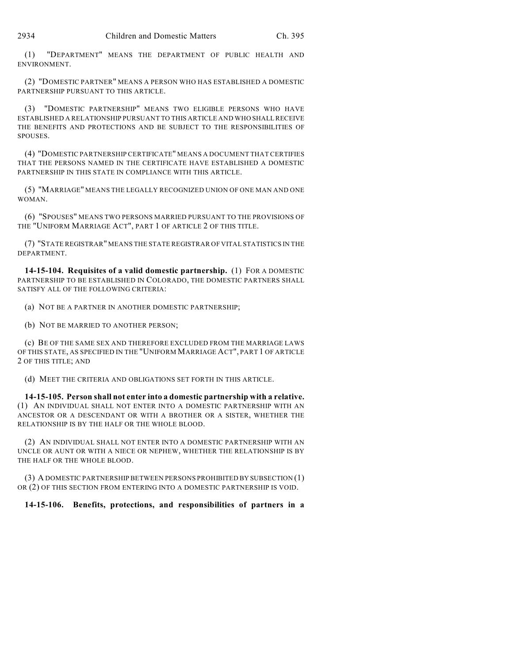(1) "DEPARTMENT" MEANS THE DEPARTMENT OF PUBLIC HEALTH AND ENVIRONMENT.

(2) "DOMESTIC PARTNER" MEANS A PERSON WHO HAS ESTABLISHED A DOMESTIC PARTNERSHIP PURSUANT TO THIS ARTICLE.

(3) "DOMESTIC PARTNERSHIP" MEANS TWO ELIGIBLE PERSONS WHO HAVE ESTABLISHED A RELATIONSHIP PURSUANT TO THIS ARTICLE AND WHO SHALL RECEIVE THE BENEFITS AND PROTECTIONS AND BE SUBJECT TO THE RESPONSIBILITIES OF SPOUSES.

(4) "DOMESTIC PARTNERSHIP CERTIFICATE" MEANS A DOCUMENT THAT CERTIFIES THAT THE PERSONS NAMED IN THE CERTIFICATE HAVE ESTABLISHED A DOMESTIC PARTNERSHIP IN THIS STATE IN COMPLIANCE WITH THIS ARTICLE.

(5) "MARRIAGE" MEANS THE LEGALLY RECOGNIZED UNION OF ONE MAN AND ONE WOMAN.

(6) "SPOUSES" MEANS TWO PERSONS MARRIED PURSUANT TO THE PROVISIONS OF THE "UNIFORM MARRIAGE ACT", PART 1 OF ARTICLE 2 OF THIS TITLE.

(7) "STATE REGISTRAR" MEANS THE STATE REGISTRAR OF VITAL STATISTICS IN THE DEPARTMENT.

**14-15-104. Requisites of a valid domestic partnership.** (1) FOR A DOMESTIC PARTNERSHIP TO BE ESTABLISHED IN COLORADO, THE DOMESTIC PARTNERS SHALL SATISFY ALL OF THE FOLLOWING CRITERIA:

(a) NOT BE A PARTNER IN ANOTHER DOMESTIC PARTNERSHIP;

(b) NOT BE MARRIED TO ANOTHER PERSON;

(c) BE OF THE SAME SEX AND THEREFORE EXCLUDED FROM THE MARRIAGE LAWS OF THIS STATE, AS SPECIFIED IN THE "UNIFORM MARRIAGE ACT", PART 1 OF ARTICLE 2 OF THIS TITLE; AND

(d) MEET THE CRITERIA AND OBLIGATIONS SET FORTH IN THIS ARTICLE.

**14-15-105. Person shall not enter into a domestic partnership with a relative.** (1) AN INDIVIDUAL SHALL NOT ENTER INTO A DOMESTIC PARTNERSHIP WITH AN ANCESTOR OR A DESCENDANT OR WITH A BROTHER OR A SISTER, WHETHER THE RELATIONSHIP IS BY THE HALF OR THE WHOLE BLOOD.

(2) AN INDIVIDUAL SHALL NOT ENTER INTO A DOMESTIC PARTNERSHIP WITH AN UNCLE OR AUNT OR WITH A NIECE OR NEPHEW, WHETHER THE RELATIONSHIP IS BY THE HALF OR THE WHOLE BLOOD.

(3) A DOMESTIC PARTNERSHIP BETWEEN PERSONS PROHIBITED BY SUBSECTION (1) OR (2) OF THIS SECTION FROM ENTERING INTO A DOMESTIC PARTNERSHIP IS VOID.

**14-15-106. Benefits, protections, and responsibilities of partners in a**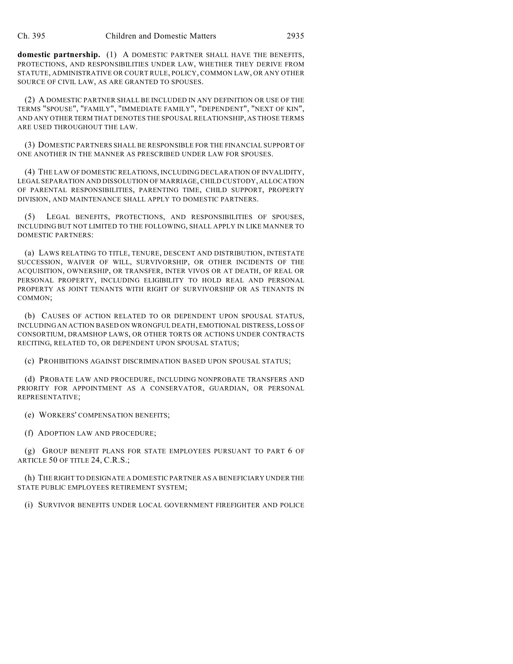**domestic partnership.** (1) A DOMESTIC PARTNER SHALL HAVE THE BENEFITS, PROTECTIONS, AND RESPONSIBILITIES UNDER LAW, WHETHER THEY DERIVE FROM STATUTE, ADMINISTRATIVE OR COURT RULE, POLICY, COMMON LAW, OR ANY OTHER SOURCE OF CIVIL LAW, AS ARE GRANTED TO SPOUSES.

(2) A DOMESTIC PARTNER SHALL BE INCLUDED IN ANY DEFINITION OR USE OF THE TERMS "SPOUSE", "FAMILY", "IMMEDIATE FAMILY", "DEPENDENT", "NEXT OF KIN", AND ANY OTHER TERM THAT DENOTES THE SPOUSAL RELATIONSHIP, AS THOSE TERMS ARE USED THROUGHOUT THE LAW.

(3) DOMESTIC PARTNERS SHALL BE RESPONSIBLE FOR THE FINANCIAL SUPPORT OF ONE ANOTHER IN THE MANNER AS PRESCRIBED UNDER LAW FOR SPOUSES.

(4) THE LAW OF DOMESTIC RELATIONS, INCLUDING DECLARATION OF INVALIDITY, LEGAL SEPARATION AND DISSOLUTION OF MARRIAGE, CHILD CUSTODY, ALLOCATION OF PARENTAL RESPONSIBILITIES, PARENTING TIME, CHILD SUPPORT, PROPERTY DIVISION, AND MAINTENANCE SHALL APPLY TO DOMESTIC PARTNERS.

(5) LEGAL BENEFITS, PROTECTIONS, AND RESPONSIBILITIES OF SPOUSES, INCLUDING BUT NOT LIMITED TO THE FOLLOWING, SHALL APPLY IN LIKE MANNER TO DOMESTIC PARTNERS:

(a) LAWS RELATING TO TITLE, TENURE, DESCENT AND DISTRIBUTION, INTESTATE SUCCESSION, WAIVER OF WILL, SURVIVORSHIP, OR OTHER INCIDENTS OF THE ACQUISITION, OWNERSHIP, OR TRANSFER, INTER VIVOS OR AT DEATH, OF REAL OR PERSONAL PROPERTY, INCLUDING ELIGIBILITY TO HOLD REAL AND PERSONAL PROPERTY AS JOINT TENANTS WITH RIGHT OF SURVIVORSHIP OR AS TENANTS IN COMMON;

(b) CAUSES OF ACTION RELATED TO OR DEPENDENT UPON SPOUSAL STATUS, INCLUDING AN ACTION BASED ON WRONGFUL DEATH, EMOTIONAL DISTRESS, LOSS OF CONSORTIUM, DRAMSHOP LAWS, OR OTHER TORTS OR ACTIONS UNDER CONTRACTS RECITING, RELATED TO, OR DEPENDENT UPON SPOUSAL STATUS;

(c) PROHIBITIONS AGAINST DISCRIMINATION BASED UPON SPOUSAL STATUS;

(d) PROBATE LAW AND PROCEDURE, INCLUDING NONPROBATE TRANSFERS AND PRIORITY FOR APPOINTMENT AS A CONSERVATOR, GUARDIAN, OR PERSONAL REPRESENTATIVE;

(e) WORKERS' COMPENSATION BENEFITS;

(f) ADOPTION LAW AND PROCEDURE;

(g) GROUP BENEFIT PLANS FOR STATE EMPLOYEES PURSUANT TO PART 6 OF ARTICLE 50 OF TITLE 24, C.R.S.;

(h) THE RIGHT TO DESIGNATE A DOMESTIC PARTNER AS A BENEFICIARY UNDER THE STATE PUBLIC EMPLOYEES RETIREMENT SYSTEM;

(i) SURVIVOR BENEFITS UNDER LOCAL GOVERNMENT FIREFIGHTER AND POLICE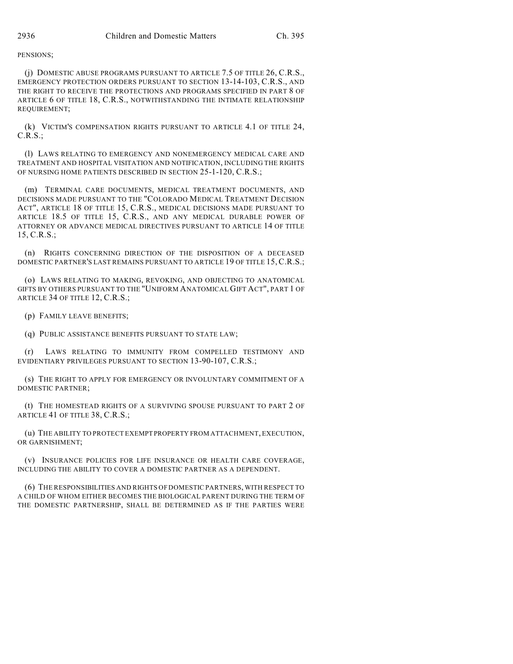## PENSIONS;

(j) DOMESTIC ABUSE PROGRAMS PURSUANT TO ARTICLE 7.5 OF TITLE 26, C.R.S., EMERGENCY PROTECTION ORDERS PURSUANT TO SECTION 13-14-103, C.R.S., AND THE RIGHT TO RECEIVE THE PROTECTIONS AND PROGRAMS SPECIFIED IN PART 8 OF ARTICLE 6 OF TITLE 18, C.R.S., NOTWITHSTANDING THE INTIMATE RELATIONSHIP REQUIREMENT;

(k) VICTIM'S COMPENSATION RIGHTS PURSUANT TO ARTICLE 4.1 OF TITLE 24, C.R.S.;

(l) LAWS RELATING TO EMERGENCY AND NONEMERGENCY MEDICAL CARE AND TREATMENT AND HOSPITAL VISITATION AND NOTIFICATION, INCLUDING THE RIGHTS OF NURSING HOME PATIENTS DESCRIBED IN SECTION 25-1-120, C.R.S.;

(m) TERMINAL CARE DOCUMENTS, MEDICAL TREATMENT DOCUMENTS, AND DECISIONS MADE PURSUANT TO THE "COLORADO MEDICAL TREATMENT DECISION ACT", ARTICLE 18 OF TITLE 15, C.R.S., MEDICAL DECISIONS MADE PURSUANT TO ARTICLE 18.5 OF TITLE 15, C.R.S., AND ANY MEDICAL DURABLE POWER OF ATTORNEY OR ADVANCE MEDICAL DIRECTIVES PURSUANT TO ARTICLE 14 OF TITLE 15, C.R.S.;

(n) RIGHTS CONCERNING DIRECTION OF THE DISPOSITION OF A DECEASED DOMESTIC PARTNER'S LAST REMAINS PURSUANT TO ARTICLE 19 OF TITLE 15, C.R.S.;

(o) LAWS RELATING TO MAKING, REVOKING, AND OBJECTING TO ANATOMICAL GIFTS BY OTHERS PURSUANT TO THE "UNIFORM ANATOMICAL GIFT ACT", PART 1 OF ARTICLE 34 OF TITLE 12, C.R.S.;

(p) FAMILY LEAVE BENEFITS;

(q) PUBLIC ASSISTANCE BENEFITS PURSUANT TO STATE LAW;

(r) LAWS RELATING TO IMMUNITY FROM COMPELLED TESTIMONY AND EVIDENTIARY PRIVILEGES PURSUANT TO SECTION 13-90-107, C.R.S.;

(s) THE RIGHT TO APPLY FOR EMERGENCY OR INVOLUNTARY COMMITMENT OF A DOMESTIC PARTNER;

(t) THE HOMESTEAD RIGHTS OF A SURVIVING SPOUSE PURSUANT TO PART 2 OF ARTICLE 41 OF TITLE 38, C.R.S.;

(u) THE ABILITY TO PROTECT EXEMPT PROPERTY FROM ATTACHMENT, EXECUTION, OR GARNISHMENT;

(v) INSURANCE POLICIES FOR LIFE INSURANCE OR HEALTH CARE COVERAGE, INCLUDING THE ABILITY TO COVER A DOMESTIC PARTNER AS A DEPENDENT.

(6) THE RESPONSIBILITIES AND RIGHTS OF DOMESTIC PARTNERS, WITH RESPECT TO A CHILD OF WHOM EITHER BECOMES THE BIOLOGICAL PARENT DURING THE TERM OF THE DOMESTIC PARTNERSHIP, SHALL BE DETERMINED AS IF THE PARTIES WERE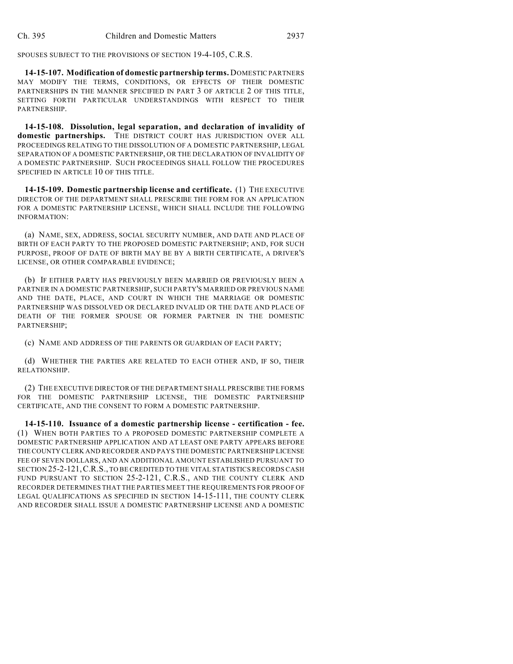SPOUSES SUBJECT TO THE PROVISIONS OF SECTION 19-4-105, C.R.S.

**14-15-107. Modification of domestic partnership terms.** DOMESTIC PARTNERS MAY MODIFY THE TERMS, CONDITIONS, OR EFFECTS OF THEIR DOMESTIC PARTNERSHIPS IN THE MANNER SPECIFIED IN PART 3 OF ARTICLE 2 OF THIS TITLE, SETTING FORTH PARTICULAR UNDERSTANDINGS WITH RESPECT TO THEIR PARTNERSHIP.

**14-15-108. Dissolution, legal separation, and declaration of invalidity of domestic partnerships.** THE DISTRICT COURT HAS JURISDICTION OVER ALL PROCEEDINGS RELATING TO THE DISSOLUTION OF A DOMESTIC PARTNERSHIP, LEGAL SEPARATION OF A DOMESTIC PARTNERSHIP, OR THE DECLARATION OF INVALIDITY OF A DOMESTIC PARTNERSHIP. SUCH PROCEEDINGS SHALL FOLLOW THE PROCEDURES SPECIFIED IN ARTICLE 10 OF THIS TITLE.

**14-15-109. Domestic partnership license and certificate.** (1) THE EXECUTIVE DIRECTOR OF THE DEPARTMENT SHALL PRESCRIBE THE FORM FOR AN APPLICATION FOR A DOMESTIC PARTNERSHIP LICENSE, WHICH SHALL INCLUDE THE FOLLOWING INFORMATION:

(a) NAME, SEX, ADDRESS, SOCIAL SECURITY NUMBER, AND DATE AND PLACE OF BIRTH OF EACH PARTY TO THE PROPOSED DOMESTIC PARTNERSHIP; AND, FOR SUCH PURPOSE, PROOF OF DATE OF BIRTH MAY BE BY A BIRTH CERTIFICATE, A DRIVER'S LICENSE, OR OTHER COMPARABLE EVIDENCE;

(b) IF EITHER PARTY HAS PREVIOUSLY BEEN MARRIED OR PREVIOUSLY BEEN A PARTNER IN A DOMESTIC PARTNERSHIP, SUCH PARTY'S MARRIED OR PREVIOUS NAME AND THE DATE, PLACE, AND COURT IN WHICH THE MARRIAGE OR DOMESTIC PARTNERSHIP WAS DISSOLVED OR DECLARED INVALID OR THE DATE AND PLACE OF DEATH OF THE FORMER SPOUSE OR FORMER PARTNER IN THE DOMESTIC PARTNERSHIP;

(c) NAME AND ADDRESS OF THE PARENTS OR GUARDIAN OF EACH PARTY;

(d) WHETHER THE PARTIES ARE RELATED TO EACH OTHER AND, IF SO, THEIR RELATIONSHIP.

(2) THE EXECUTIVE DIRECTOR OF THE DEPARTMENT SHALL PRESCRIBE THE FORMS FOR THE DOMESTIC PARTNERSHIP LICENSE, THE DOMESTIC PARTNERSHIP CERTIFICATE, AND THE CONSENT TO FORM A DOMESTIC PARTNERSHIP.

**14-15-110. Issuance of a domestic partnership license - certification - fee.** (1) WHEN BOTH PARTIES TO A PROPOSED DOMESTIC PARTNERSHIP COMPLETE A DOMESTIC PARTNERSHIP APPLICATION AND AT LEAST ONE PARTY APPEARS BEFORE THE COUNTY CLERK AND RECORDER AND PAYS THE DOMESTIC PARTNERSHIP LICENSE FEE OF SEVEN DOLLARS, AND AN ADDITIONAL AMOUNT ESTABLISHED PURSUANT TO SECTION 25-2-121,C.R.S., TO BE CREDITED TO THE VITAL STATISTICS RECORDS CASH FUND PURSUANT TO SECTION 25-2-121, C.R.S., AND THE COUNTY CLERK AND RECORDER DETERMINES THAT THE PARTIES MEET THE REQUIREMENTS FOR PROOF OF LEGAL QUALIFICATIONS AS SPECIFIED IN SECTION 14-15-111, THE COUNTY CLERK AND RECORDER SHALL ISSUE A DOMESTIC PARTNERSHIP LICENSE AND A DOMESTIC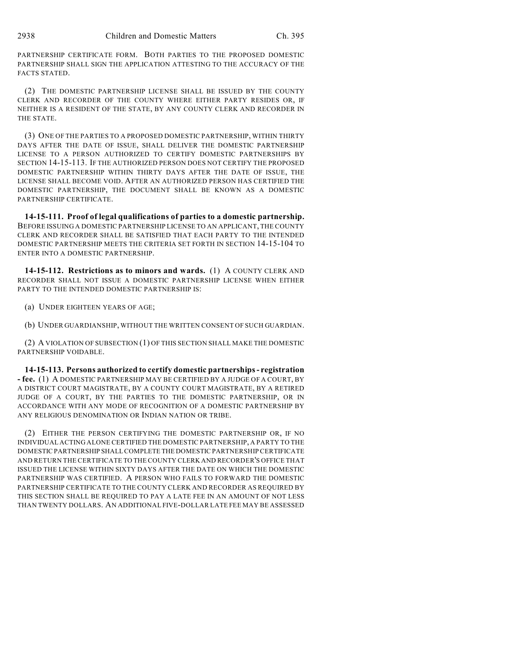PARTNERSHIP CERTIFICATE FORM. BOTH PARTIES TO THE PROPOSED DOMESTIC PARTNERSHIP SHALL SIGN THE APPLICATION ATTESTING TO THE ACCURACY OF THE FACTS STATED.

(2) THE DOMESTIC PARTNERSHIP LICENSE SHALL BE ISSUED BY THE COUNTY CLERK AND RECORDER OF THE COUNTY WHERE EITHER PARTY RESIDES OR, IF NEITHER IS A RESIDENT OF THE STATE, BY ANY COUNTY CLERK AND RECORDER IN THE STATE.

(3) ONE OF THE PARTIES TO A PROPOSED DOMESTIC PARTNERSHIP, WITHIN THIRTY DAYS AFTER THE DATE OF ISSUE, SHALL DELIVER THE DOMESTIC PARTNERSHIP LICENSE TO A PERSON AUTHORIZED TO CERTIFY DOMESTIC PARTNERSHIPS BY SECTION 14-15-113. IF THE AUTHORIZED PERSON DOES NOT CERTIFY THE PROPOSED DOMESTIC PARTNERSHIP WITHIN THIRTY DAYS AFTER THE DATE OF ISSUE, THE LICENSE SHALL BECOME VOID. AFTER AN AUTHORIZED PERSON HAS CERTIFIED THE DOMESTIC PARTNERSHIP, THE DOCUMENT SHALL BE KNOWN AS A DOMESTIC PARTNERSHIP CERTIFICATE.

**14-15-111. Proof of legal qualifications of parties to a domestic partnership.** BEFORE ISSUING A DOMESTIC PARTNERSHIP LICENSE TO AN APPLICANT, THE COUNTY CLERK AND RECORDER SHALL BE SATISFIED THAT EACH PARTY TO THE INTENDED DOMESTIC PARTNERSHIP MEETS THE CRITERIA SET FORTH IN SECTION 14-15-104 TO ENTER INTO A DOMESTIC PARTNERSHIP.

**14-15-112. Restrictions as to minors and wards.** (1) A COUNTY CLERK AND RECORDER SHALL NOT ISSUE A DOMESTIC PARTNERSHIP LICENSE WHEN EITHER PARTY TO THE INTENDED DOMESTIC PARTNERSHIP IS:

(a) UNDER EIGHTEEN YEARS OF AGE;

(b) UNDER GUARDIANSHIP, WITHOUT THE WRITTEN CONSENT OF SUCH GUARDIAN.

(2) A VIOLATION OF SUBSECTION (1) OF THIS SECTION SHALL MAKE THE DOMESTIC PARTNERSHIP VOIDABLE.

**14-15-113. Persons authorized to certify domestic partnerships - registration - fee.** (1) A DOMESTIC PARTNERSHIP MAY BE CERTIFIED BY A JUDGE OF A COURT, BY A DISTRICT COURT MAGISTRATE, BY A COUNTY COURT MAGISTRATE, BY A RETIRED JUDGE OF A COURT, BY THE PARTIES TO THE DOMESTIC PARTNERSHIP, OR IN ACCORDANCE WITH ANY MODE OF RECOGNITION OF A DOMESTIC PARTNERSHIP BY ANY RELIGIOUS DENOMINATION OR INDIAN NATION OR TRIBE.

(2) EITHER THE PERSON CERTIFYING THE DOMESTIC PARTNERSHIP OR, IF NO INDIVIDUAL ACTING ALONE CERTIFIED THE DOMESTIC PARTNERSHIP, A PARTY TO THE DOMESTIC PARTNERSHIP SHALL COMPLETE THE DOMESTIC PARTNERSHIP CERTIFICATE AND RETURN THE CERTIFICATE TO THE COUNTY CLERK AND RECORDER'S OFFICE THAT ISSUED THE LICENSE WITHIN SIXTY DAYS AFTER THE DATE ON WHICH THE DOMESTIC PARTNERSHIP WAS CERTIFIED. A PERSON WHO FAILS TO FORWARD THE DOMESTIC PARTNERSHIP CERTIFICATE TO THE COUNTY CLERK AND RECORDER AS REQUIRED BY THIS SECTION SHALL BE REQUIRED TO PAY A LATE FEE IN AN AMOUNT OF NOT LESS THAN TWENTY DOLLARS. AN ADDITIONAL FIVE-DOLLAR LATE FEE MAY BE ASSESSED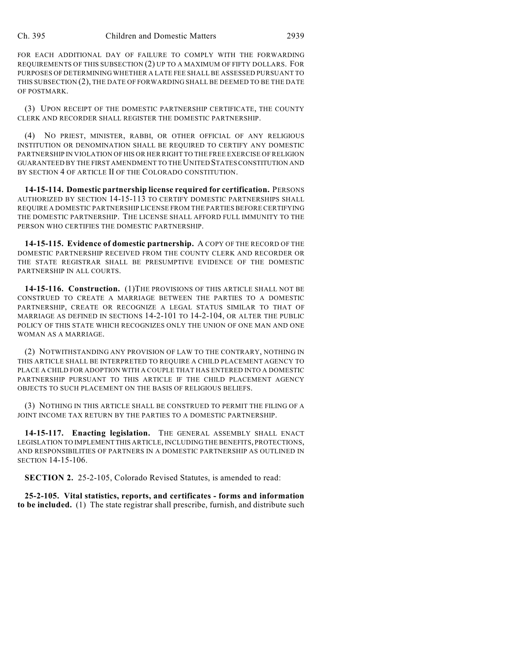FOR EACH ADDITIONAL DAY OF FAILURE TO COMPLY WITH THE FORWARDING REQUIREMENTS OF THIS SUBSECTION (2) UP TO A MAXIMUM OF FIFTY DOLLARS. FOR PURPOSES OF DETERMINING WHETHER A LATE FEE SHALL BE ASSESSED PURSUANT TO THIS SUBSECTION (2), THE DATE OF FORWARDING SHALL BE DEEMED TO BE THE DATE OF POSTMARK.

(3) UPON RECEIPT OF THE DOMESTIC PARTNERSHIP CERTIFICATE, THE COUNTY CLERK AND RECORDER SHALL REGISTER THE DOMESTIC PARTNERSHIP.

(4) NO PRIEST, MINISTER, RABBI, OR OTHER OFFICIAL OF ANY RELIGIOUS INSTITUTION OR DENOMINATION SHALL BE REQUIRED TO CERTIFY ANY DOMESTIC PARTNERSHIP IN VIOLATION OF HIS OR HER RIGHT TO THE FREE EXERCISE OF RELIGION GUARANTEED BY THE FIRST AMENDMENT TO THE UNITED STATES CONSTITUTION AND BY SECTION 4 OF ARTICLE II OF THE COLORADO CONSTITUTION.

**14-15-114. Domestic partnership license required for certification.** PERSONS AUTHORIZED BY SECTION 14-15-113 TO CERTIFY DOMESTIC PARTNERSHIPS SHALL REQUIRE A DOMESTIC PARTNERSHIP LICENSE FROM THE PARTIES BEFORE CERTIFYING THE DOMESTIC PARTNERSHIP. THE LICENSE SHALL AFFORD FULL IMMUNITY TO THE PERSON WHO CERTIFIES THE DOMESTIC PARTNERSHIP.

**14-15-115. Evidence of domestic partnership.** A COPY OF THE RECORD OF THE DOMESTIC PARTNERSHIP RECEIVED FROM THE COUNTY CLERK AND RECORDER OR THE STATE REGISTRAR SHALL BE PRESUMPTIVE EVIDENCE OF THE DOMESTIC PARTNERSHIP IN ALL COURTS.

**14-15-116. Construction.** (1)THE PROVISIONS OF THIS ARTICLE SHALL NOT BE CONSTRUED TO CREATE A MARRIAGE BETWEEN THE PARTIES TO A DOMESTIC PARTNERSHIP, CREATE OR RECOGNIZE A LEGAL STATUS SIMILAR TO THAT OF MARRIAGE AS DEFINED IN SECTIONS 14-2-101 TO 14-2-104, OR ALTER THE PUBLIC POLICY OF THIS STATE WHICH RECOGNIZES ONLY THE UNION OF ONE MAN AND ONE WOMAN AS A MARRIAGE.

(2) NOTWITHSTANDING ANY PROVISION OF LAW TO THE CONTRARY, NOTHING IN THIS ARTICLE SHALL BE INTERPRETED TO REQUIRE A CHILD PLACEMENT AGENCY TO PLACE A CHILD FOR ADOPTION WITH A COUPLE THAT HAS ENTERED INTO A DOMESTIC PARTNERSHIP PURSUANT TO THIS ARTICLE IF THE CHILD PLACEMENT AGENCY OBJECTS TO SUCH PLACEMENT ON THE BASIS OF RELIGIOUS BELIEFS.

(3) NOTHING IN THIS ARTICLE SHALL BE CONSTRUED TO PERMIT THE FILING OF A JOINT INCOME TAX RETURN BY THE PARTIES TO A DOMESTIC PARTNERSHIP.

**14-15-117. Enacting legislation.** THE GENERAL ASSEMBLY SHALL ENACT LEGISLATION TO IMPLEMENT THIS ARTICLE, INCLUDING THE BENEFITS, PROTECTIONS, AND RESPONSIBILITIES OF PARTNERS IN A DOMESTIC PARTNERSHIP AS OUTLINED IN SECTION 14-15-106.

**SECTION 2.** 25-2-105, Colorado Revised Statutes, is amended to read:

**25-2-105. Vital statistics, reports, and certificates - forms and information to be included.** (1) The state registrar shall prescribe, furnish, and distribute such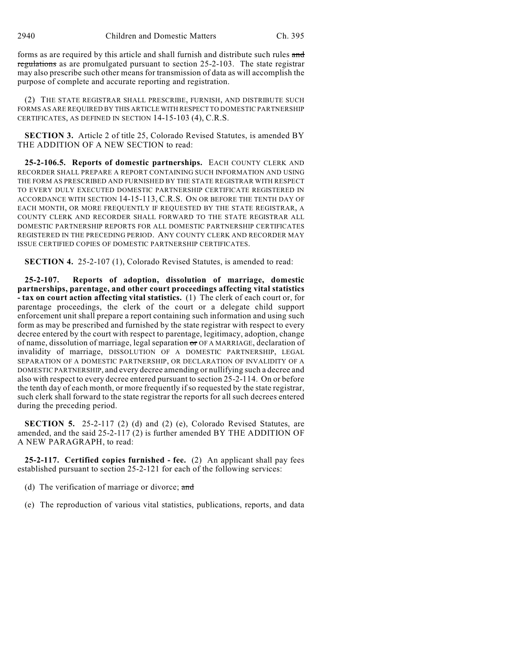forms as are required by this article and shall furnish and distribute such rules and regulations as are promulgated pursuant to section 25-2-103. The state registrar may also prescribe such other means for transmission of data as will accomplish the purpose of complete and accurate reporting and registration.

(2) THE STATE REGISTRAR SHALL PRESCRIBE, FURNISH, AND DISTRIBUTE SUCH FORMS AS ARE REQUIRED BY THIS ARTICLE WITH RESPECT TO DOMESTIC PARTNERSHIP CERTIFICATES, AS DEFINED IN SECTION 14-15-103 (4), C.R.S.

**SECTION 3.** Article 2 of title 25, Colorado Revised Statutes, is amended BY THE ADDITION OF A NEW SECTION to read:

**25-2-106.5. Reports of domestic partnerships.** EACH COUNTY CLERK AND RECORDER SHALL PREPARE A REPORT CONTAINING SUCH INFORMATION AND USING THE FORM AS PRESCRIBED AND FURNISHED BY THE STATE REGISTRAR WITH RESPECT TO EVERY DULY EXECUTED DOMESTIC PARTNERSHIP CERTIFICATE REGISTERED IN ACCORDANCE WITH SECTION 14-15-113, C.R.S. ON OR BEFORE THE TENTH DAY OF EACH MONTH, OR MORE FREQUENTLY IF REQUESTED BY THE STATE REGISTRAR, A COUNTY CLERK AND RECORDER SHALL FORWARD TO THE STATE REGISTRAR ALL DOMESTIC PARTNERSHIP REPORTS FOR ALL DOMESTIC PARTNERSHIP CERTIFICATES REGISTERED IN THE PRECEDING PERIOD. ANY COUNTY CLERK AND RECORDER MAY ISSUE CERTIFIED COPIES OF DOMESTIC PARTNERSHIP CERTIFICATES.

**SECTION 4.** 25-2-107 (1), Colorado Revised Statutes, is amended to read:

**25-2-107. Reports of adoption, dissolution of marriage, domestic partnerships, parentage, and other court proceedings affecting vital statistics - tax on court action affecting vital statistics.** (1) The clerk of each court or, for parentage proceedings, the clerk of the court or a delegate child support enforcement unit shall prepare a report containing such information and using such form as may be prescribed and furnished by the state registrar with respect to every decree entered by the court with respect to parentage, legitimacy, adoption, change of name, dissolution of marriage, legal separation or OF A MARRIAGE, declaration of invalidity of marriage, DISSOLUTION OF A DOMESTIC PARTNERSHIP, LEGAL SEPARATION OF A DOMESTIC PARTNERSHIP, OR DECLARATION OF INVALIDITY OF A DOMESTIC PARTNERSHIP, and every decree amending or nullifying such a decree and also with respect to every decree entered pursuant to section 25-2-114. On or before the tenth day of each month, or more frequently if so requested by the state registrar, such clerk shall forward to the state registrar the reports for all such decrees entered during the preceding period.

**SECTION 5.** 25-2-117 (2) (d) and (2) (e), Colorado Revised Statutes, are amended, and the said 25-2-117 (2) is further amended BY THE ADDITION OF A NEW PARAGRAPH, to read:

**25-2-117. Certified copies furnished - fee.** (2) An applicant shall pay fees established pursuant to section 25-2-121 for each of the following services:

- (d) The verification of marriage or divorce;  $\alpha$ nd
- (e) The reproduction of various vital statistics, publications, reports, and data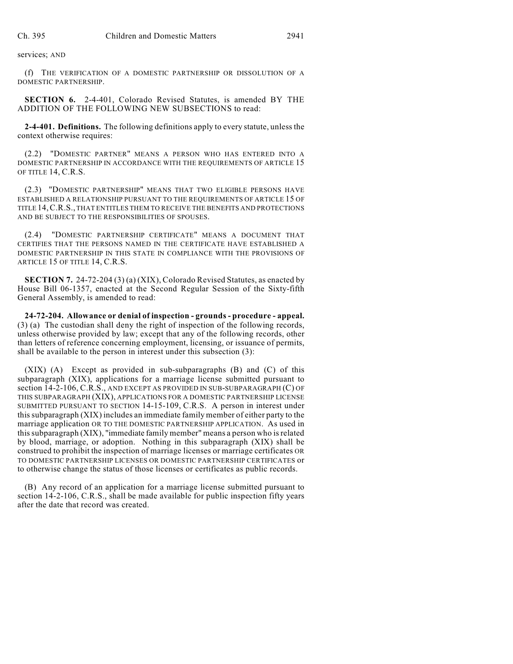services; AND

(f) THE VERIFICATION OF A DOMESTIC PARTNERSHIP OR DISSOLUTION OF A DOMESTIC PARTNERSHIP.

**SECTION 6.** 2-4-401, Colorado Revised Statutes, is amended BY THE ADDITION OF THE FOLLOWING NEW SUBSECTIONS to read:

**2-4-401. Definitions.** The following definitions apply to every statute, unless the context otherwise requires:

(2.2) "DOMESTIC PARTNER" MEANS A PERSON WHO HAS ENTERED INTO A DOMESTIC PARTNERSHIP IN ACCORDANCE WITH THE REQUIREMENTS OF ARTICLE 15 OF TITLE 14, C.R.S.

(2.3) "DOMESTIC PARTNERSHIP" MEANS THAT TWO ELIGIBLE PERSONS HAVE ESTABLISHED A RELATIONSHIP PURSUANT TO THE REQUIREMENTS OF ARTICLE 15 OF TITLE 14,C.R.S., THAT ENTITLES THEM TO RECEIVE THE BENEFITS AND PROTECTIONS AND BE SUBJECT TO THE RESPONSIBILITIES OF SPOUSES.

(2.4) "DOMESTIC PARTNERSHIP CERTIFICATE" MEANS A DOCUMENT THAT CERTIFIES THAT THE PERSONS NAMED IN THE CERTIFICATE HAVE ESTABLISHED A DOMESTIC PARTNERSHIP IN THIS STATE IN COMPLIANCE WITH THE PROVISIONS OF ARTICLE 15 OF TITLE 14, C.R.S.

**SECTION 7.** 24-72-204 (3) (a) (XIX), Colorado Revised Statutes, as enacted by House Bill 06-1357, enacted at the Second Regular Session of the Sixty-fifth General Assembly, is amended to read:

**24-72-204. Allowance or denial of inspection - grounds - procedure - appeal.** (3) (a) The custodian shall deny the right of inspection of the following records, unless otherwise provided by law; except that any of the following records, other than letters of reference concerning employment, licensing, or issuance of permits, shall be available to the person in interest under this subsection (3):

(XIX) (A) Except as provided in sub-subparagraphs (B) and (C) of this subparagraph (XIX), applications for a marriage license submitted pursuant to section 14-2-106, C.R.S., AND EXCEPT AS PROVIDED IN SUB-SUBPARAGRAPH (C) OF THIS SUBPARAGRAPH (XIX), APPLICATIONS FOR A DOMESTIC PARTNERSHIP LICENSE SUBMITTED PURSUANT TO SECTION 14-15-109, C.R.S. A person in interest under this subparagraph (XIX) includes an immediate family member of either party to the marriage application OR TO THE DOMESTIC PARTNERSHIP APPLICATION. As used in this subparagraph (XIX), "immediate family member" means a person who is related by blood, marriage, or adoption. Nothing in this subparagraph (XIX) shall be construed to prohibit the inspection of marriage licenses or marriage certificates OR TO DOMESTIC PARTNERSHIP LICENSES OR DOMESTIC PARTNERSHIP CERTIFICATES or to otherwise change the status of those licenses or certificates as public records.

(B) Any record of an application for a marriage license submitted pursuant to section 14-2-106, C.R.S., shall be made available for public inspection fifty years after the date that record was created.